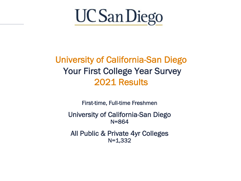

### University of California-San Diego Your First College Year Survey 2021 Results

First-time, Full-time Freshmen

University of California-San Diego N=864

All Public & Private 4yr Colleges N=1,332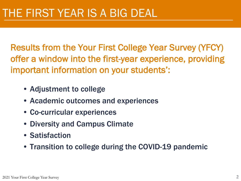Results from the Your First College Year Survey (YFCY) offer a window into the first-year experience, providing important information on your students':

- Adjustment to college
- Academic outcomes and experiences
- Co-curricular experiences
- Diversity and Campus Climate
- Satisfaction
- Transition to college during the COVID-19 pandemic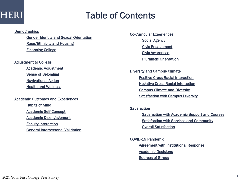### Table of Cont[ents](#page-28-0)

#### **Demog[raphics](#page-16-0)**

[Gender Identity and](#page-17-0) Sexual Orientation [Race/Ethnicity and Housing](#page-18-0) Financing College

#### Adjustment to College

Academic Adjustment Sense of Belonging Navigational Action **Health and Wellness** 

#### Academic Outcomes and Experiences

**Habits of Mind** Academic Self-Concept Academic Disengagement Faculty Interaction General Interpersonal Validation Co-Cur[ricular Experiences](#page-31-0) **[Social Agency](#page-32-0)** Civic Engagement [Civic Awarene](#page-33-0)ss [Pluralistic Orientation](#page-34-0)

Diver[sity and Campus C](#page-36-0)limate Positive Cross-Racial Interaction Negative Cross-Racial Interaction Campus Climate and Diversity Satisfaction with Campus Diversity

#### **Satisfaction**

Satisfaction with Academic Support a Satisfaction with Services and Comm Overall Satisfaction

COVID-19 Pandemic Agreement with Institutional Response Academic Decisions Sources of Stress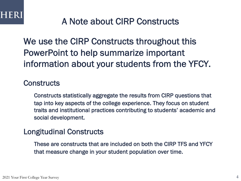### A Note about CIRP Constructs

We use the CIRP Constructs throughout this PowerPoint to help summarize important information about your students from the YFCY.

### **Constructs**

Constructs statistically aggregate the results from CIRP questions that tap into key aspects of the college experience. They focus on student traits and institutional practices contributing to students' academic and social development.

### Longitudinal Constructs

These are constructs that are included on both the CIRP TFS and YFCY that measure change in your student population over time.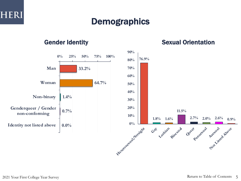### **Demographics**



### Gender Identity **Sexual Orientation**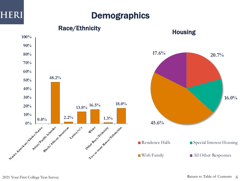

### **Demographics**

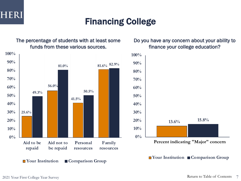

### Financing College

The percentage of students with at least some funds from these various sources.



### Do you have any concern about your ability to finance your college education?



■ Your Institution ■ Comparison Group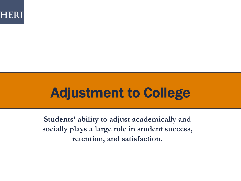

# Adjustment to College

**Students' ability to adjust academically and socially plays a large role in student success, retention, and satisfaction.**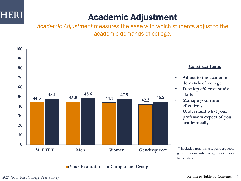

# Academic Adjustment

*Academic Adjustment* measures the ease with which students adjust to the academic demands of college.



2021 Your First College Year Survey **Example 2021** Your First College Year Survey **9**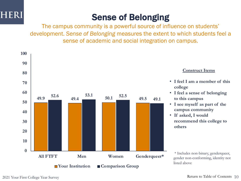

# Sense of Belonging

The campus community is a powerful source of influence on students' development. *Sense of Belonging* measures the extent to which students feel a sense of academic and social integration on campus.

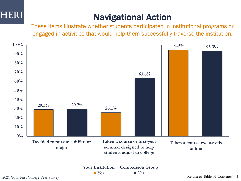

# Navigational Action

These items illustrate whether students participated in institutional programs or engaged in activities that would help them successfully traverse the institution.



Return to Table of Contents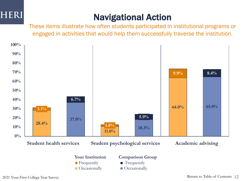

## Navigational Action

These items illustrate how often students participated in institutional programs or engaged in activities that would help them successfully traverse the institution.

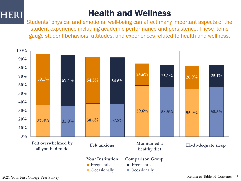### Health and Wellness

Students' physical and emotional well-being can affect many important aspects of the student experience including academic performance and persistence. These items gauge student behaviors, attitudes, and experiences related to health and wellness.

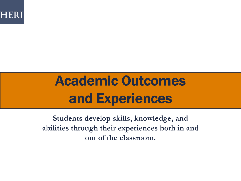

# Academic Outcomes and Experiences

**Students develop skills, knowledge, and abilities through their experiences both in and out of the classroom.**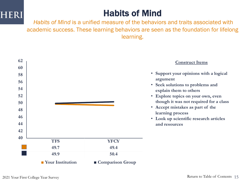### Habits of Mind

*Habits of Mind* is a unified measure of the behaviors and traits associated with academic success. These learning behaviors are seen as the foundation for lifelong learning.

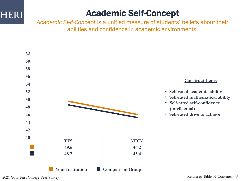### Academic Self-Concept

*Academic Self-Concept* is a unified measure of students' beliefs about their abilities and confidence in academic environments.

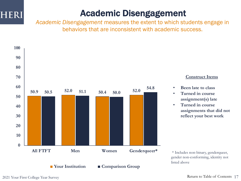### <span id="page-16-0"></span>Academic Disengagement

*Academic Disengagement* measures the extent to which students engage in behaviors that are inconsistent with academic success.



### **Construct Items**

- **Been late to class**
- **Turned in course assignment(s) late**
- **Turned in course assignments that did not reflect your best work**

gender non-conforming, identity not listed above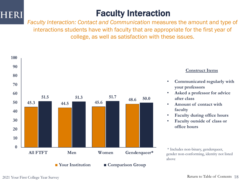

### <span id="page-17-0"></span>Faculty Interaction

*Faculty Interaction: Contact and Communication* measures the amount and type of interactions students have with faculty that are appropriate for the first year of college, as well as satisfaction with these issues.



### **Construct Items**

- **Communicated regularly with your professors**
- **Asked a professor for advice after class**
- **Amount of contact with faculty**
- **Faculty during office hours**
- **Faculty outside of class or office hours**

\* Includes non-binary, genderqueer, gender non-conforming, identity not listed above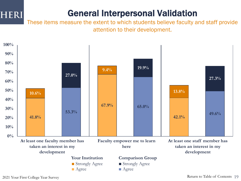### <span id="page-18-0"></span>General Interpersonal Validation

These items measure the extent to which students believe faculty and staff provide attention to their development.



2021 Your First College Year Survey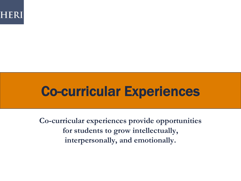

# Co-curricular Experiences

**Co-curricular experiences provide opportunities for students to grow intellectually, interpersonally, and emotionally.**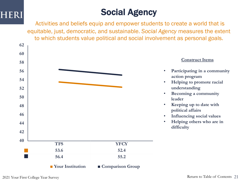## Social Agency

Activities and beliefs equip and empower students to create a world that is equitable, just, democratic, and sustainable. *Social Agency* measures the extent to which students value political and social involvement as personal goals.

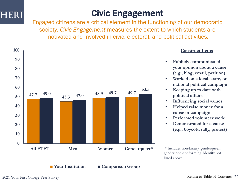

### Civic Engagement

Engaged citizens are a critical element in the functioning of our democratic society. *Civic Engagement* measures the extent to which students are motivated and involved in civic, electoral, and political activities.



### **Construct Items**

- **Publicly communicated your opinion about a cause (e.g., blog, email, petition)**
- **Worked on a local, state, or national political campaign**
- **Keeping up to date with political affairs**
- **Influencing social values**
- **Helped raise money for a cause or campaign**
- **Performed volunteer work**
- **Demonstrated for a cause (e.g., boycott, rally, protest)**

\* Includes non-binary, genderqueer, gender non-conforming, identity not listed above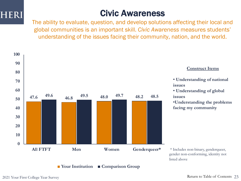

### Civic Awareness

The ability to evaluate, question, and develop solutions affecting their local and global communities is an important skill. *Civic Awareness* measures students' understanding of the issues facing their community, nation, and the world.

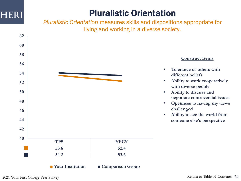### Pluralistic Orientation

*Pluralistic Orientation* measures skills and dispositions appropriate for living and working in a diverse society.

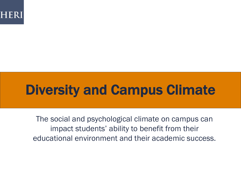

# Diversity and Campus Climate

The social and psychological climate on campus can impact students' ability to benefit from their educational environment and their academic success.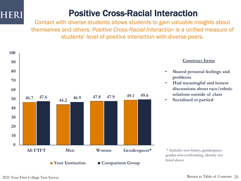### Positive Cross-Racial Interaction

Contact with diverse students allows students to gain valuable insights about themselves and others. *Positive Cross-Racial Interaction* is a unified measure of students' level of positive interaction with diverse peers.



### **Construct Items**

- **Shared personal feelings and problems**
- **Had meaningful and honest discussions about race/ethnic relations outside of class**
- **Socialized or partied**

\* Includes non-binary, genderqueer, gender non-conforming, identity not listed above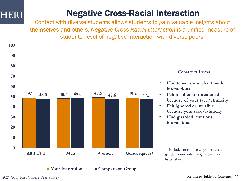### Negative Cross-Racial Interaction

Contact with diverse students allows students to gain valuable insights about themselves and others. *Negative Cross-Racial Interaction* is a unified measure of students' level of negative interaction with diverse peers.



### **Construct Items**

- **Had tense, somewhat hostile interactions**
- **Felt insulted or threatened because of your race/ethnicity**
- **Felt ignored or invisible because your race/ethnicity**
- **Had guarded, cautious interactions**

\* Includes non-binary, genderqueer, gender non-conforming, identity not listed above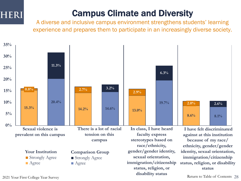### Campus Climate and Diversity

A diverse and inclusive campus environment strengthens students' learning experience and prepares them to participate in an increasingly diverse society.



2021 Your First College Year Survey

Return to Table of Contents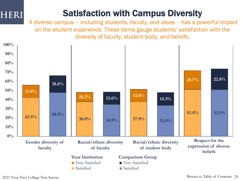### <span id="page-28-0"></span>Satisfaction with Campus Diversity

A diverse campus – including students, faculty, and ideas – has a powerful impact on the student experience. These items gauge students' satisfaction with the diversity of faculty, student body, and beliefs.

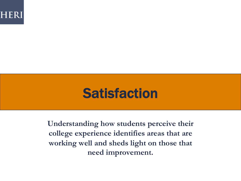

# **Satisfaction**

**Understanding how students perceive their college experience identifies areas that are working well and sheds light on those that need improvement.**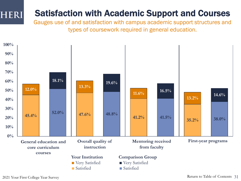### Satisfaction with Academic Support and Courses

Gauges use of and satisfaction with campus academic support structures and types of coursework required in general education.



**HERI**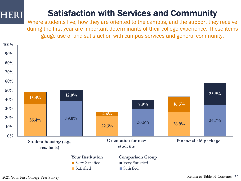### <span id="page-31-0"></span>Satisfaction with Services and Community

Where students live, how they are oriented to the campus, and the support they receive during the first year are important determinants of their college experience. These items gauge use of and satisfaction with campus services and general community.

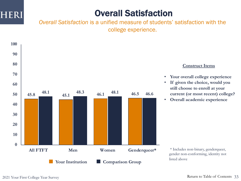

### <span id="page-32-0"></span>Overall Satisfaction

*Overall Satisfaction* is a unified measure of students' satisfaction with the college experience.



### **Construct Items**

- **Your overall college experience**
- **If given the choice, would you still choose to enroll at your current (or most recent) college?**
- **Overall academic experience**

\* Includes non-binary, genderqueer, gender non-conforming, identity not listed above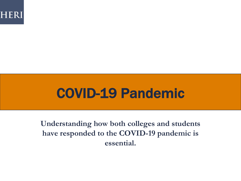

# <span id="page-33-0"></span>COVID-19 Pandemic

**Understanding how both colleges and students have responded to the COVID-19 pandemic is essential.**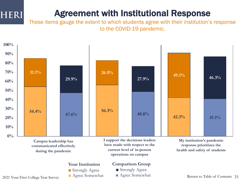### <span id="page-34-0"></span>Agreement with Institutional Response

These items gauge the extent to which students agree with their institution's response to the COVID-19 pandemic.

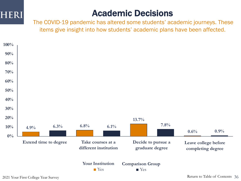

### Academic Decisions

The COVID-19 pandemic has altered some students' academic journeys. These items give insight into how students' academic plans have been affected.

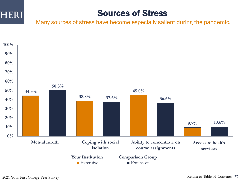

### <span id="page-36-0"></span>Sources of Stress

Many sources of stress have become especially salient during the pandemic.